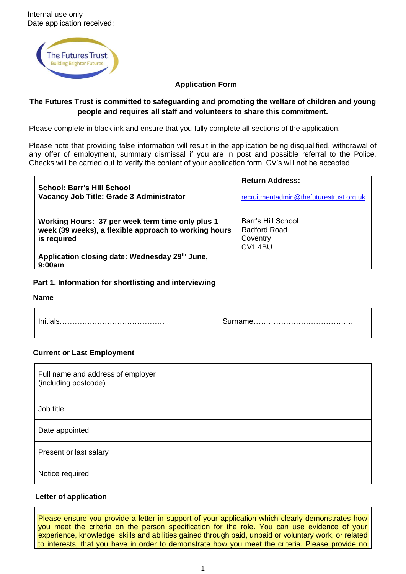

### **Application Form**

### **The Futures Trust is committed to safeguarding and promoting the welfare of children and young people and requires all staff and volunteers to share this commitment.**

Please complete in black ink and ensure that you fully complete all sections of the application.

Please note that providing false information will result in the application being disqualified, withdrawal of any offer of employment, summary dismissal if you are in post and possible referral to the Police. Checks will be carried out to verify the content of your application form. CV's will not be accepted.

| <b>School: Barr's Hill School</b><br>Vacancy Job Title: Grade 3 Administrator                                            | <b>Return Address:</b><br>recruitmentadmin@thefuturestrust.org.uk |
|--------------------------------------------------------------------------------------------------------------------------|-------------------------------------------------------------------|
| Working Hours: 37 per week term time only plus 1<br>week (39 weeks), a flexible approach to working hours<br>is required | Barr's Hill School<br>Radford Road<br>Coventry<br>CV1 4BU         |
| Application closing date: Wednesday 29th June,<br>9:00am                                                                 |                                                                   |

### **Part 1. Information for shortlisting and interviewing**

### **Name**

 $\mathsf{r}$ 

### **Current or Last Employment**

| Full name and address of employer<br>(including postcode) |  |
|-----------------------------------------------------------|--|
| Job title                                                 |  |
| Date appointed                                            |  |
| Present or last salary                                    |  |
| Notice required                                           |  |

### **Letter of application**

Please ensure you provide a letter in support of your application which clearly demonstrates how you meet the criteria on the person specification for the role. You can use evidence of your experience, knowledge, skills and abilities gained through paid, unpaid or voluntary work, or related to interests, that you have in order to demonstrate how you meet the criteria. Please provide no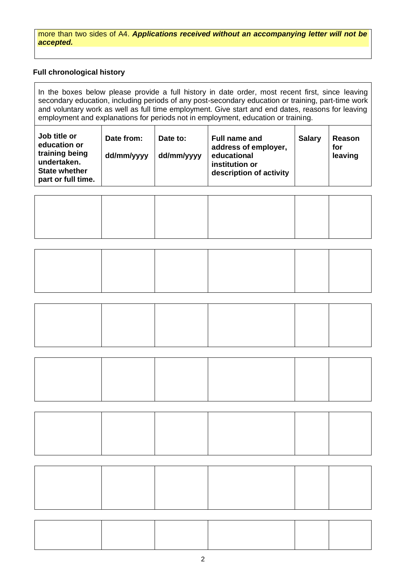more than two sides of A4. *Applications received without an accompanying letter will not be accepted.* 

# **Full chronological history**

In the boxes below please provide a full history in date order, most recent first, since leaving secondary education, including periods of any post-secondary education or training, part-time work and voluntary work as well as full time employment. Give start and end dates, reasons for leaving employment and explanations for periods not in employment, education or training.

| Job title or<br>education or<br>training being<br>undertaken.<br><b>State whether</b><br>part or full time. | Date from:<br>dd/mm/yyyy | Date to:<br>dd/mm/yyyy | Full name and<br>address of employer,<br>educational<br>institution or<br>description of activity | <b>Salary</b> | Reason<br>for<br>leaving |
|-------------------------------------------------------------------------------------------------------------|--------------------------|------------------------|---------------------------------------------------------------------------------------------------|---------------|--------------------------|
|-------------------------------------------------------------------------------------------------------------|--------------------------|------------------------|---------------------------------------------------------------------------------------------------|---------------|--------------------------|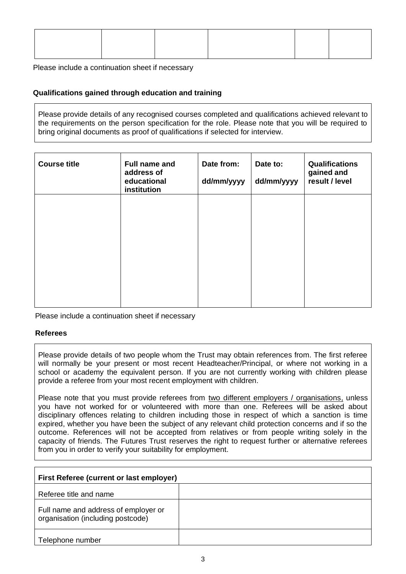Please include a continuation sheet if necessary

### **Qualifications gained through education and training**

Please provide details of any recognised courses completed and qualifications achieved relevant to the requirements on the person specification for the role. Please note that you will be required to bring original documents as proof of qualifications if selected for interview.

| <b>Course title</b> | Full name and<br>address of<br>educational<br>institution | Date from:<br>dd/mm/yyyy | Date to:<br>dd/mm/yyyy | <b>Qualifications</b><br>gained and<br>result / level |
|---------------------|-----------------------------------------------------------|--------------------------|------------------------|-------------------------------------------------------|
|                     |                                                           |                          |                        |                                                       |
|                     |                                                           |                          |                        |                                                       |
|                     |                                                           |                          |                        |                                                       |
|                     |                                                           |                          |                        |                                                       |

Please include a continuation sheet if necessary

#### **Referees**

Please provide details of two people whom the Trust may obtain references from. The first referee will normally be your present or most recent Headteacher/Principal, or where not working in a school or academy the equivalent person. If you are not currently working with children please provide a referee from your most recent employment with children.

Please note that you must provide referees from two different employers / organisations, unless you have not worked for or volunteered with more than one. Referees will be asked about disciplinary offences relating to children including those in respect of which a sanction is time expired, whether you have been the subject of any relevant child protection concerns and if so the outcome. References will not be accepted from relatives or from people writing solely in the capacity of friends. The Futures Trust reserves the right to request further or alternative referees from you in order to verify your suitability for employment.

| First Referee (current or last employer)                                  |  |  |  |  |
|---------------------------------------------------------------------------|--|--|--|--|
| Referee title and name                                                    |  |  |  |  |
| Full name and address of employer or<br>organisation (including postcode) |  |  |  |  |
| Telephone number                                                          |  |  |  |  |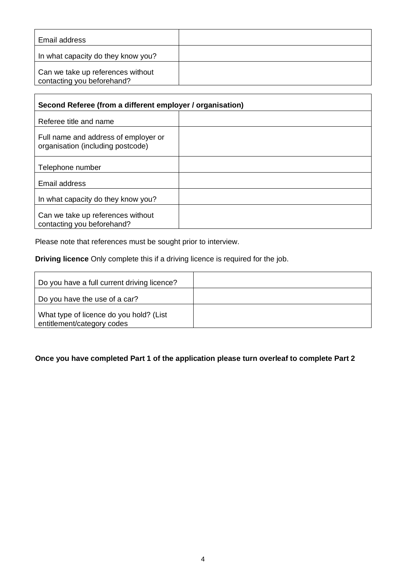| Email address                                                   |  |
|-----------------------------------------------------------------|--|
| In what capacity do they know you?                              |  |
| Can we take up references without<br>contacting you beforehand? |  |

| Second Referee (from a different employer / organisation)                 |  |  |  |  |
|---------------------------------------------------------------------------|--|--|--|--|
| Referee title and name                                                    |  |  |  |  |
| Full name and address of employer or<br>organisation (including postcode) |  |  |  |  |
| Telephone number                                                          |  |  |  |  |
| Email address                                                             |  |  |  |  |
| In what capacity do they know you?                                        |  |  |  |  |
| Can we take up references without<br>contacting you beforehand?           |  |  |  |  |

Please note that references must be sought prior to interview.

 **Driving licence** Only complete this if a driving licence is required for the job.

| Do you have a full current driving licence?                           |  |
|-----------------------------------------------------------------------|--|
| Do you have the use of a car?                                         |  |
| What type of licence do you hold? (List<br>entitlement/category codes |  |

# **Once you have completed Part 1 of the application please turn overleaf to complete Part 2**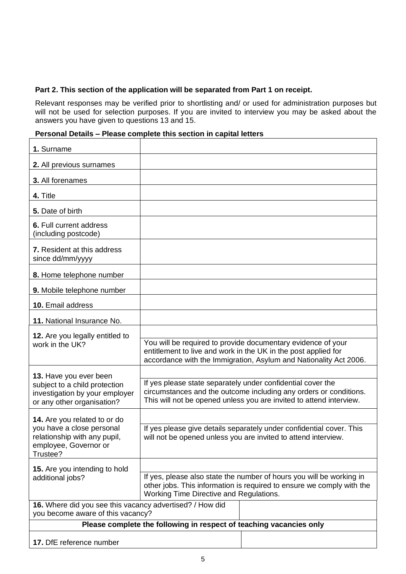# **Part 2. This section of the application will be separated from Part 1 on receipt.**

Relevant responses may be verified prior to shortlisting and/ or used for administration purposes but will not be used for selection purposes. If you are invited to interview you may be asked about the answers you have given to questions 13 and 15.

# **Personal Details – Please complete this section in capital letters**

| 1. Surname                                                                                                                     |                                                                     |                                                                                                                                                                                                     |
|--------------------------------------------------------------------------------------------------------------------------------|---------------------------------------------------------------------|-----------------------------------------------------------------------------------------------------------------------------------------------------------------------------------------------------|
| 2. All previous surnames                                                                                                       |                                                                     |                                                                                                                                                                                                     |
| 3. All forenames                                                                                                               |                                                                     |                                                                                                                                                                                                     |
| 4. Title                                                                                                                       |                                                                     |                                                                                                                                                                                                     |
| 5. Date of birth                                                                                                               |                                                                     |                                                                                                                                                                                                     |
| 6. Full current address<br>(including postcode)                                                                                |                                                                     |                                                                                                                                                                                                     |
| 7. Resident at this address<br>since dd/mm/yyyy                                                                                |                                                                     |                                                                                                                                                                                                     |
| 8. Home telephone number                                                                                                       |                                                                     |                                                                                                                                                                                                     |
| 9. Mobile telephone number                                                                                                     |                                                                     |                                                                                                                                                                                                     |
| 10. Email address                                                                                                              |                                                                     |                                                                                                                                                                                                     |
| 11. National Insurance No.                                                                                                     |                                                                     |                                                                                                                                                                                                     |
| 12. Are you legally entitled to<br>work in the UK?                                                                             |                                                                     | You will be required to provide documentary evidence of your<br>entitlement to live and work in the UK in the post applied for<br>accordance with the Immigration, Asylum and Nationality Act 2006. |
| 13. Have you ever been<br>subject to a child protection<br>investigation by your employer<br>or any other organisation?        | If yes please state separately under confidential cover the         | circumstances and the outcome including any orders or conditions.<br>This will not be opened unless you are invited to attend interview.                                                            |
| 14. Are you related to or do<br>you have a close personal<br>relationship with any pupil,<br>employee, Governor or<br>Trustee? |                                                                     | If yes please give details separately under confidential cover. This<br>will not be opened unless you are invited to attend interview.                                                              |
| 15. Are you intending to hold<br>additional jobs?                                                                              | Working Time Directive and Regulations.                             | If yes, please also state the number of hours you will be working in<br>other jobs. This information is required to ensure we comply with the                                                       |
| 16. Where did you see this vacancy advertised? / How did<br>you become aware of this vacancy?                                  |                                                                     |                                                                                                                                                                                                     |
|                                                                                                                                | Please complete the following in respect of teaching vacancies only |                                                                                                                                                                                                     |
| 17. DfE reference number                                                                                                       |                                                                     |                                                                                                                                                                                                     |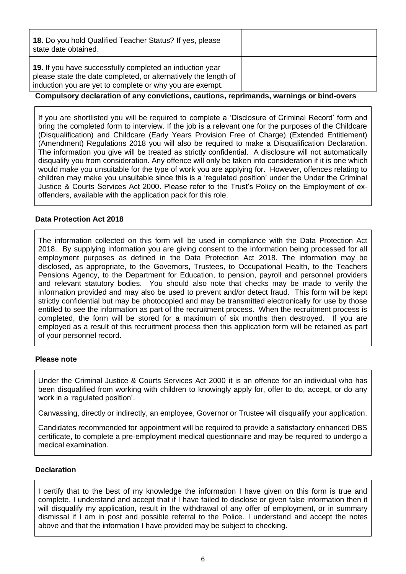| <b>18.</b> Do you hold Qualified Teacher Status? If yes, please<br>state date obtained.                                                                                                        |  |
|------------------------------------------------------------------------------------------------------------------------------------------------------------------------------------------------|--|
| <b>19.</b> If you have successfully completed an induction year<br>please state the date completed, or alternatively the length of<br>induction you are yet to complete or why you are exempt. |  |

### **Compulsory declaration of any convictions, cautions, reprimands, warnings or bind-overs**

If you are shortlisted you will be required to complete a 'Disclosure of Criminal Record' form and bring the completed form to interview. If the job is a relevant one for the purposes of the Childcare (Disqualification) and Childcare (Early Years Provision Free of Charge) (Extended Entitlement) (Amendment) Regulations 2018 you will also be required to make a Disqualification Declaration. The information you give will be treated as strictly confidential. A disclosure will not automatically disqualify you from consideration. Any offence will only be taken into consideration if it is one which would make you unsuitable for the type of work you are applying for. However, offences relating to children may make you unsuitable since this is a 'regulated position' under the Under the Criminal Justice & Courts Services Act 2000. Please refer to the Trust's Policy on the Employment of exoffenders, available with the application pack for this role.

### **Data Protection Act 2018**

The information collected on this form will be used in compliance with the Data Protection Act 2018. By supplying information you are giving consent to the information being processed for all employment purposes as defined in the Data Protection Act 2018. The information may be disclosed, as appropriate, to the Governors, Trustees, to Occupational Health, to the Teachers Pensions Agency, to the Department for Education, to pension, payroll and personnel providers and relevant statutory bodies. You should also note that checks may be made to verify the information provided and may also be used to prevent and/or detect fraud. This form will be kept strictly confidential but may be photocopied and may be transmitted electronically for use by those entitled to see the information as part of the recruitment process. When the recruitment process is completed, the form will be stored for a maximum of six months then destroyed. If you are employed as a result of this recruitment process then this application form will be retained as part of your personnel record.

#### **Please note**

Under the Criminal Justice & Courts Services Act 2000 it is an offence for an individual who has been disqualified from working with children to knowingly apply for, offer to do, accept, or do any work in a 'regulated position'.

Canvassing, directly or indirectly, an employee, Governor or Trustee will disqualify your application.

Candidates recommended for appointment will be required to provide a satisfactory enhanced DBS certificate, to complete a pre-employment medical questionnaire and may be required to undergo a medical examination.

#### **Declaration**

I certify that to the best of my knowledge the information I have given on this form is true and complete. I understand and accept that if I have failed to disclose or given false information then it will disqualify my application, result in the withdrawal of any offer of employment, or in summary dismissal if I am in post and possible referral to the Police. I understand and accept the notes above and that the information I have provided may be subject to checking.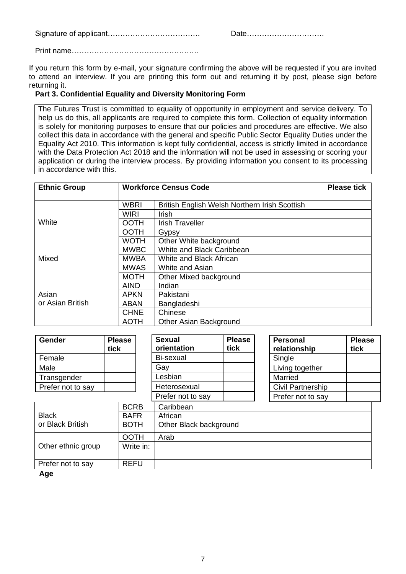Signature of applicant………………………………. Date………………………….

Print name……………………………………………

If you return this form by e-mail, your signature confirming the above will be requested if you are invited to attend an interview. If you are printing this form out and returning it by post, please sign before returning it.

### **Part 3. Confidential Equality and Diversity Monitoring Form**

The Futures Trust is committed to equality of opportunity in employment and service delivery. To help us do this, all applicants are required to complete this form. Collection of equality information is solely for monitoring purposes to ensure that our policies and procedures are effective. We also collect this data in accordance with the general and specific Public Sector Equality Duties under the Equality Act 2010. This information is kept fully confidential, access is strictly limited in accordance with the Data Protection Act 2018 and the information will not be used in assessing or scoring your application or during the interview process. By providing information you consent to its processing in accordance with this.

| <b>Ethnic Group</b><br><b>Workforce Census Code</b> |             |                                               | <b>Please tick</b> |
|-----------------------------------------------------|-------------|-----------------------------------------------|--------------------|
|                                                     | <b>WBRI</b> | British English Welsh Northern Irish Scottish |                    |
|                                                     | <b>WIRI</b> | Irish                                         |                    |
| White                                               | <b>OOTH</b> | <b>Irish Traveller</b>                        |                    |
|                                                     | <b>OOTH</b> | Gypsy                                         |                    |
|                                                     | <b>WOTH</b> | Other White background                        |                    |
|                                                     | <b>MWBC</b> | White and Black Caribbean                     |                    |
| Mixed                                               | <b>MWBA</b> | White and Black African                       |                    |
|                                                     | <b>MWAS</b> | White and Asian                               |                    |
|                                                     | <b>MOTH</b> | Other Mixed background                        |                    |
|                                                     | <b>AIND</b> | Indian                                        |                    |
| Asian                                               | <b>APKN</b> | Pakistani                                     |                    |
| or Asian British                                    | <b>ABAN</b> | Bangladeshi                                   |                    |
|                                                     | <b>CHNE</b> | Chinese                                       |                    |
|                                                     | <b>AOTH</b> | <b>Other Asian Background</b>                 |                    |

| Gender             | <b>Please</b><br>tick | <b>Sexual</b><br>orientation | <b>Please</b><br>tick | <b>Personal</b><br>relationship | <b>Please</b><br>tick |
|--------------------|-----------------------|------------------------------|-----------------------|---------------------------------|-----------------------|
| Female             |                       | Bi-sexual                    |                       | Single                          |                       |
| Male               |                       | Gay                          |                       | Living together                 |                       |
| Transgender        |                       | Lesbian                      |                       | Married                         |                       |
| Prefer not to say  |                       | Heterosexual                 |                       | Civil Partnership               |                       |
|                    |                       | Prefer not to say            |                       | Prefer not to say               |                       |
|                    | <b>BCRB</b>           | Caribbean                    |                       |                                 |                       |
| <b>Black</b>       | <b>BAFR</b>           | African                      |                       |                                 |                       |
| or Black British   | <b>BOTH</b>           | Other Black background       |                       |                                 |                       |
|                    | <b>OOTH</b>           | Arab                         |                       |                                 |                       |
| Other ethnic group | Write in:             |                              |                       |                                 |                       |
| Prefer not to say  | <b>REFU</b>           |                              |                       |                                 |                       |

 **Age**